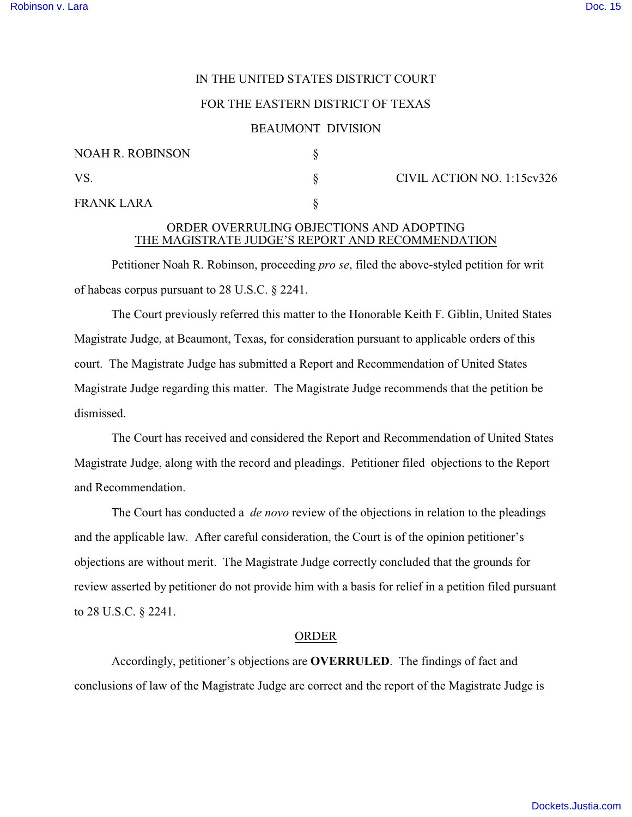# IN THE UNITED STATES DISTRICT COURT

# FOR THE EASTERN DISTRICT OF TEXAS

#### BEAUMONT DIVISION

| <b>NOAH R. ROBINSON</b> |  |  |
|-------------------------|--|--|
| VS.                     |  |  |
| <b>FRANK LARA</b>       |  |  |

 $\S$  CIVIL ACTION NO. 1:15cv326

# ORDER OVERRULING OBJECTIONS AND ADOPTING THE MAGISTRATE JUDGE'S REPORT AND RECOMMENDATION

Petitioner Noah R. Robinson, proceeding *pro se*, filed the above-styled petition for writ of habeas corpus pursuant to 28 U.S.C. § 2241.

The Court previously referred this matter to the Honorable Keith F. Giblin, United States Magistrate Judge, at Beaumont, Texas, for consideration pursuant to applicable orders of this court. The Magistrate Judge has submitted a Report and Recommendation of United States Magistrate Judge regarding this matter. The Magistrate Judge recommends that the petition be dismissed.

The Court has received and considered the Report and Recommendation of United States Magistrate Judge, along with the record and pleadings. Petitioner filed objections to the Report and Recommendation.

The Court has conducted a *de novo* review of the objections in relation to the pleadings and the applicable law. After careful consideration, the Court is of the opinion petitioner's objections are without merit. The Magistrate Judge correctly concluded that the grounds for review asserted by petitioner do not provide him with a basis for relief in a petition filed pursuant to 28 U.S.C. § 2241.

# ORDER

Accordingly, petitioner's objections are **OVERRULED**. The findings of fact and conclusions of law of the Magistrate Judge are correct and the report of the Magistrate Judge is